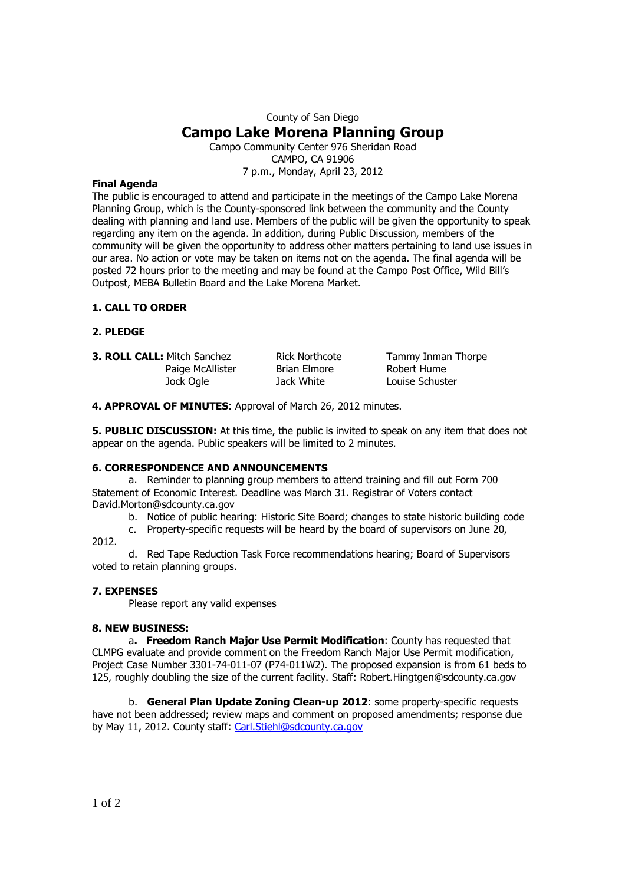# County of San Diego **Campo Lake Morena Planning Group**  Campo Community Center 976 Sheridan Road

CAMPO, CA 91906 7 p.m., Monday, April 23, 2012

## **Final Agenda**

The public is encouraged to attend and participate in the meetings of the Campo Lake Morena Planning Group, which is the County-sponsored link between the community and the County dealing with planning and land use. Members of the public will be given the opportunity to speak regarding any item on the agenda. In addition, during Public Discussion, members of the community will be given the opportunity to address other matters pertaining to land use issues in our area. No action or vote may be taken on items not on the agenda. The final agenda will be posted 72 hours prior to the meeting and may be found at the Campo Post Office, Wild Bill's Outpost, MEBA Bulletin Board and the Lake Morena Market.

## **1. CALL TO ORDER**

## **2. PLEDGE**

**3. ROLL CALL:** Mitch Sanchez Rick Northcote Tammy Inman Thorpe Paige McAllister Brian Elmore Brown Robert Hume Jock Ogle Jack White Louise Schuster

**4. APPROVAL OF MINUTES**: Approval of March 26, 2012 minutes.

**5. PUBLIC DISCUSSION:** At this time, the public is invited to speak on any item that does not appear on the agenda. Public speakers will be limited to 2 minutes.

#### **6. CORRESPONDENCE AND ANNOUNCEMENTS**

a. Reminder to planning group members to attend training and fill out Form 700 Statement of Economic Interest. Deadline was March 31. Registrar of Voters contact David.Morton@sdcounty.ca.gov

b. Notice of public hearing: Historic Site Board; changes to state historic building code

c. Property-specific requests will be heard by the board of supervisors on June 20, 2012.

d. Red Tape Reduction Task Force recommendations hearing; Board of Supervisors voted to retain planning groups.

# **7. EXPENSES**

Please report any valid expenses

# **8. NEW BUSINESS:**

a**. Freedom Ranch Major Use Permit Modification**: County has requested that CLMPG evaluate and provide comment on the Freedom Ranch Major Use Permit modification, Project Case Number 3301-74-011-07 (P74-011W2). The proposed expansion is from 61 beds to 125, roughly doubling the size of the current facility. Staff: Robert.Hingtgen@sdcounty.ca.gov

b. **General Plan Update Zoning Clean-up 2012**: some property-specific requests have not been addressed; review maps and comment on proposed amendments; response due by May 11, 2012. County staff: Carl.Stiehl@sdcounty.ca.gov